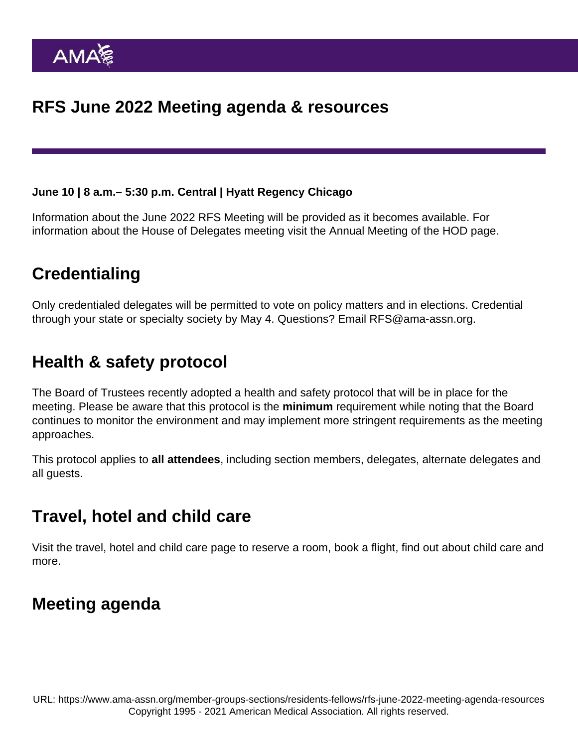June 10 | 8 a.m.– 5:30 p.m. Central | Hyatt Regency Chicago

Information about the June 2022 RFS Meeting will be provided as it becomes available. For information about the House of Delegates meeting [visit the Annual Meeting of the HOD page.](https://www.ama-assn.org/house-delegates/annual-meeting)

# **Credentialing**

Only credentialed delegates will be permitted to vote on policy matters and in elections. Credential through your state or specialty society by May 4. Questions? Email [RFS@ama-assn.org](mailto:RFS@ama-assn.org).

# Health & safety protocol

The Board of Trustees recently adopted a [health and safety protocol](https://www.ama-assn.org/house-delegates/annual-meeting/annual-meeting-health-and-safety-protocol) that will be in place for the meeting. Please be aware that this protocol is the minimum requirement while noting that the Board continues to monitor the environment and may implement more stringent requirements as the meeting approaches.

This protocol applies to all attendees , including section members, delegates, alternate delegates and all guests.

# Travel, hotel and child care

[Visit the travel, hotel and child care page](https://www.ama-assn.org/house-delegates/annual-meeting/annual-meeting-inauguration-travel-hotel-and-child-care) to reserve a room, book a flight, find out about child care and more.

# Meeting agenda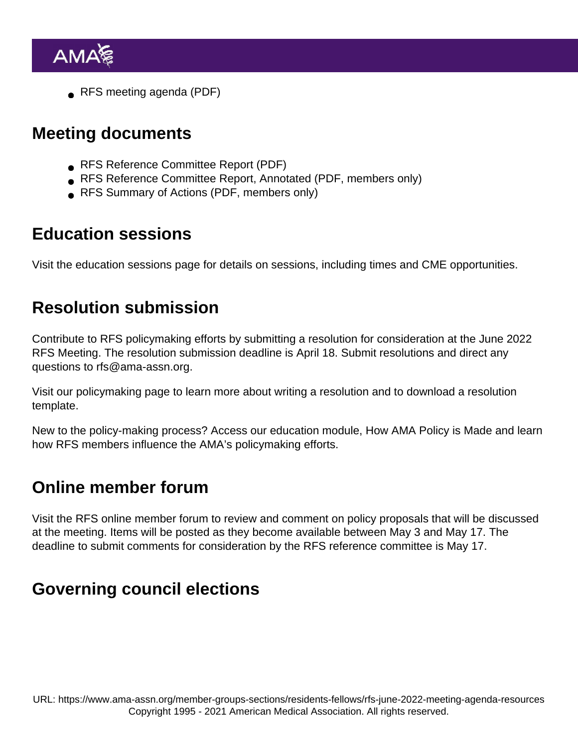● [RFS meeting agenda](https://www.ama-assn.org/system/files/june-2022-rfs-meeting-agenda.pdf) (PDF)

#### Meeting documents

- **[RFS Reference Committee Report](https://www.ama-assn.org/system/files/j22-rfs-reference-committee-report.pdf) (PDF)**
- [RFS Reference Committee Report, Annotated](https://www.ama-assn.org/system/files/june-2022-rfs-refcomm-report-annotated.pdf) (PDF, members only)
- **[RFS Summary of Actions](https://www.ama-assn.org/system/files/june-2022-rfs-summary-of-actions.pdf) (PDF, members only)**

# Education sessions

[Visit the education sessions page](https://www.ama-assn.org/house-delegates/annual-meeting/2022-annual-meeting-education-sessions) for details on sessions, including times and CME opportunities.

### Resolution submission

Contribute to RFS policymaking efforts by submitting a resolution for consideration at the June 2022 RFS Meeting. The resolution submission deadline is April 18. Submit resolutions and direct any questions to [rfs@ama-assn.org.](mailto:rfs@ama-assn.org)

Visit our [policymaking page](https://www.ama-assn.org/member-groups-sections/residents-fellows/submitting-resolution-how-policy-developed) to learn more about writing a resolution and to download a resolution template.

New to the policy-making process? Access our education module, How [AMA Policy is Made](https://edhub.ama-assn.org/interactive/18059906) and learn how RFS members influence the AMA's policymaking efforts.

# Online member forum

Visit the [RFS online member forum](https://www.ama-assn.org/forums/sections/resident-and-fellow-section) to review and comment on policy proposals that will be discussed at the meeting. Items will be posted as they become available between May 3 and May 17. The deadline to submit comments for consideration by the RFS reference committee is May 17.

# Governing council elections